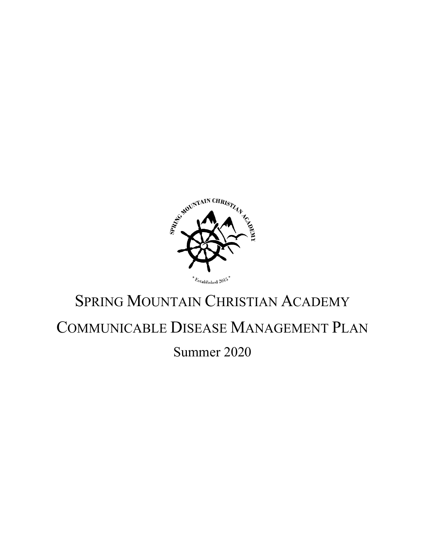

# SPRING MOUNTAIN CHRISTIAN ACADEMY

# COMMUNICABLE DISEASE MANAGEMENT PLAN

Summer 2020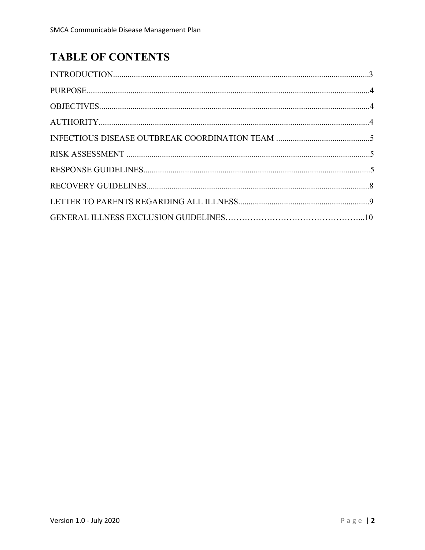## **TABLE OF CONTENTS**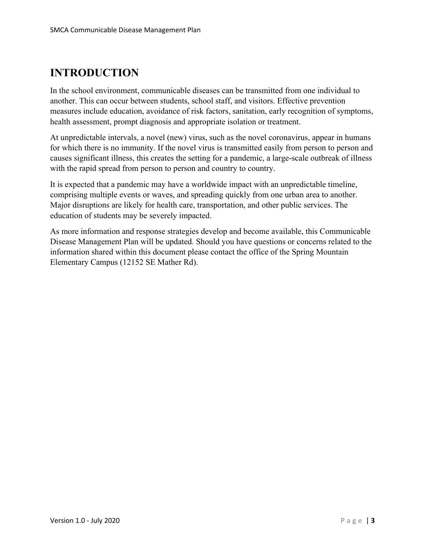## **INTRODUCTION**

In the school environment, communicable diseases can be transmitted from one individual to another. This can occur between students, school staff, and visitors. Effective prevention measures include education, avoidance of risk factors, sanitation, early recognition of symptoms, health assessment, prompt diagnosis and appropriate isolation or treatment.

At unpredictable intervals, a novel (new) virus, such as the novel coronavirus, appear in humans for which there is no immunity. If the novel virus is transmitted easily from person to person and causes significant illness, this creates the setting for a pandemic, a large-scale outbreak of illness with the rapid spread from person to person and country to country.

It is expected that a pandemic may have a worldwide impact with an unpredictable timeline, comprising multiple events or waves, and spreading quickly from one urban area to another. Major disruptions are likely for health care, transportation, and other public services. The education of students may be severely impacted.

As more information and response strategies develop and become available, this Communicable Disease Management Plan will be updated. Should you have questions or concerns related to the information shared within this document please contact the office of the Spring Mountain Elementary Campus (12152 SE Mather Rd).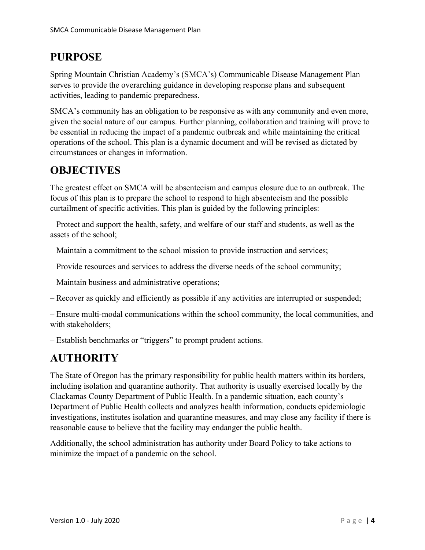#### **PURPOSE**

Spring Mountain Christian Academy's (SMCA's) Communicable Disease Management Plan serves to provide the overarching guidance in developing response plans and subsequent activities, leading to pandemic preparedness.

SMCA's community has an obligation to be responsive as with any community and even more, given the social nature of our campus. Further planning, collaboration and training will prove to be essential in reducing the impact of a pandemic outbreak and while maintaining the critical operations of the school. This plan is a dynamic document and will be revised as dictated by circumstances or changes in information.

#### **OBJECTIVES**

The greatest effect on SMCA will be absenteeism and campus closure due to an outbreak. The focus of this plan is to prepare the school to respond to high absenteeism and the possible curtailment of specific activities. This plan is guided by the following principles:

– Protect and support the health, safety, and welfare of our staff and students, as well as the assets of the school;

– Maintain a commitment to the school mission to provide instruction and services;

- Provide resources and services to address the diverse needs of the school community;
- Maintain business and administrative operations;

– Recover as quickly and efficiently as possible if any activities are interrupted or suspended;

– Ensure multi-modal communications within the school community, the local communities, and with stakeholders;

– Establish benchmarks or "triggers" to prompt prudent actions.

#### **AUTHORITY**

The State of Oregon has the primary responsibility for public health matters within its borders, including isolation and quarantine authority. That authority is usually exercised locally by the Clackamas County Department of Public Health. In a pandemic situation, each county's Department of Public Health collects and analyzes health information, conducts epidemiologic investigations, institutes isolation and quarantine measures, and may close any facility if there is reasonable cause to believe that the facility may endanger the public health.

Additionally, the school administration has authority under Board Policy to take actions to minimize the impact of a pandemic on the school.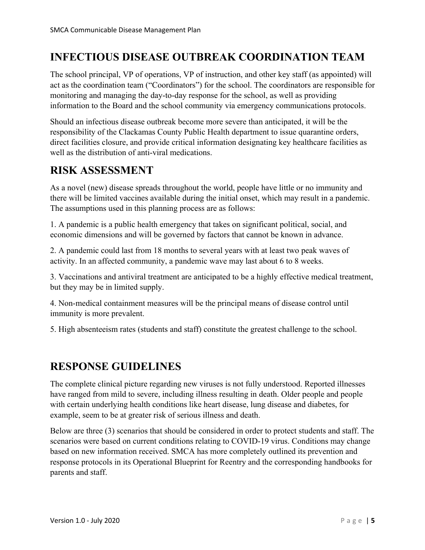#### **INFECTIOUS DISEASE OUTBREAK COORDINATION TEAM**

The school principal, VP of operations, VP of instruction, and other key staff (as appointed) will act as the coordination team ("Coordinators") for the school. The coordinators are responsible for monitoring and managing the day-to-day response for the school, as well as providing information to the Board and the school community via emergency communications protocols.

Should an infectious disease outbreak become more severe than anticipated, it will be the responsibility of the Clackamas County Public Health department to issue quarantine orders, direct facilities closure, and provide critical information designating key healthcare facilities as well as the distribution of anti-viral medications.

#### **RISK ASSESSMENT**

As a novel (new) disease spreads throughout the world, people have little or no immunity and there will be limited vaccines available during the initial onset, which may result in a pandemic. The assumptions used in this planning process are as follows:

1. A pandemic is a public health emergency that takes on significant political, social, and economic dimensions and will be governed by factors that cannot be known in advance.

2. A pandemic could last from 18 months to several years with at least two peak waves of activity. In an affected community, a pandemic wave may last about 6 to 8 weeks.

3. Vaccinations and antiviral treatment are anticipated to be a highly effective medical treatment, but they may be in limited supply.

4. Non-medical containment measures will be the principal means of disease control until immunity is more prevalent.

5. High absenteeism rates (students and staff) constitute the greatest challenge to the school.

#### **RESPONSE GUIDELINES**

The complete clinical picture regarding new viruses is not fully understood. Reported illnesses have ranged from mild to severe, including illness resulting in death. Older people and people with certain underlying health conditions like heart disease, lung disease and diabetes, for example, seem to be at greater risk of serious illness and death.

Below are three (3) scenarios that should be considered in order to protect students and staff. The scenarios were based on current conditions relating to COVID-19 virus. Conditions may change based on new information received. SMCA has more completely outlined its prevention and response protocols in its Operational Blueprint for Reentry and the corresponding handbooks for parents and staff.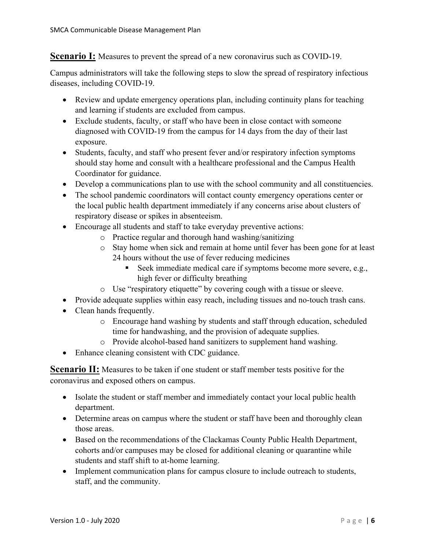**Scenario I:** Measures to prevent the spread of a new coronavirus such as COVID-19.

Campus administrators will take the following steps to slow the spread of respiratory infectious diseases, including COVID-19.

- Review and update emergency operations plan, including continuity plans for teaching and learning if students are excluded from campus.
- Exclude students, faculty, or staff who have been in close contact with someone diagnosed with COVID-19 from the campus for 14 days from the day of their last exposure.
- Students, faculty, and staff who present fever and/or respiratory infection symptoms should stay home and consult with a healthcare professional and the Campus Health Coordinator for guidance.
- Develop a communications plan to use with the school community and all constituencies.
- The school pandemic coordinators will contact county emergency operations center or the local public health department immediately if any concerns arise about clusters of respiratory disease or spikes in absenteeism.
- Encourage all students and staff to take everyday preventive actions:
	- o Practice regular and thorough hand washing/sanitizing
	- o Stay home when sick and remain at home until fever has been gone for at least 24 hours without the use of fever reducing medicines
		- Seek immediate medical care if symptoms become more severe, e.g., high fever or difficulty breathing
	- o Use "respiratory etiquette" by covering cough with a tissue or sleeve.
- Provide adequate supplies within easy reach, including tissues and no-touch trash cans.
- Clean hands frequently.
	- o Encourage hand washing by students and staff through education, scheduled time for handwashing, and the provision of adequate supplies.
	- o Provide alcohol-based hand sanitizers to supplement hand washing.
- Enhance cleaning consistent with CDC guidance.

**Scenario II:** Measures to be taken if one student or staff member tests positive for the coronavirus and exposed others on campus.

- Isolate the student or staff member and immediately contact your local public health department.
- Determine areas on campus where the student or staff have been and thoroughly clean those areas.
- Based on the recommendations of the Clackamas County Public Health Department, cohorts and/or campuses may be closed for additional cleaning or quarantine while students and staff shift to at-home learning.
- Implement communication plans for campus closure to include outreach to students, staff, and the community.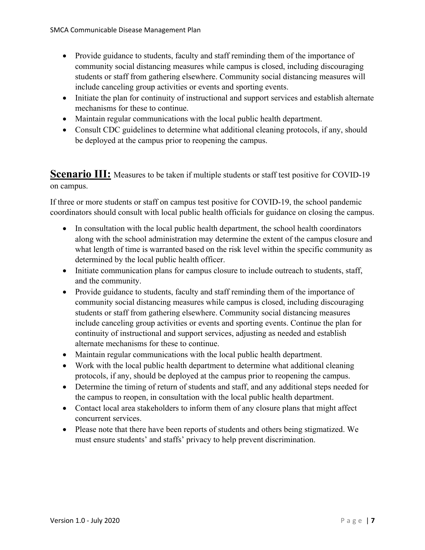- Provide guidance to students, faculty and staff reminding them of the importance of community social distancing measures while campus is closed, including discouraging students or staff from gathering elsewhere. Community social distancing measures will include canceling group activities or events and sporting events.
- Initiate the plan for continuity of instructional and support services and establish alternate mechanisms for these to continue.
- Maintain regular communications with the local public health department.
- Consult CDC guidelines to determine what additional cleaning protocols, if any, should be deployed at the campus prior to reopening the campus.

**Scenario III:** Measures to be taken if multiple students or staff test positive for COVID-19 on campus.

If three or more students or staff on campus test positive for COVID-19, the school pandemic coordinators should consult with local public health officials for guidance on closing the campus.

- In consultation with the local public health department, the school health coordinators along with the school administration may determine the extent of the campus closure and what length of time is warranted based on the risk level within the specific community as determined by the local public health officer.
- Initiate communication plans for campus closure to include outreach to students, staff, and the community.
- Provide guidance to students, faculty and staff reminding them of the importance of community social distancing measures while campus is closed, including discouraging students or staff from gathering elsewhere. Community social distancing measures include canceling group activities or events and sporting events. Continue the plan for continuity of instructional and support services, adjusting as needed and establish alternate mechanisms for these to continue.
- Maintain regular communications with the local public health department.
- Work with the local public health department to determine what additional cleaning protocols, if any, should be deployed at the campus prior to reopening the campus.
- Determine the timing of return of students and staff, and any additional steps needed for the campus to reopen, in consultation with the local public health department.
- Contact local area stakeholders to inform them of any closure plans that might affect concurrent services.
- Please note that there have been reports of students and others being stigmatized. We must ensure students' and staffs' privacy to help prevent discrimination.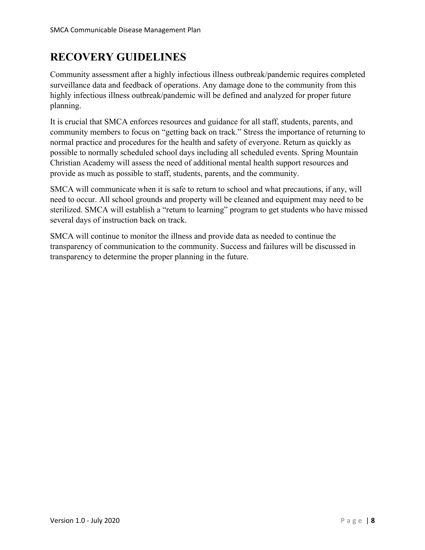## **RECOVERY GUIDELINES**

Community assessment after a highly infectious illness outbreak/pandemic requires completed surveillance data and feedback of operations. Any damage done to the community from this highly infectious illness outbreak/pandemic will be defined and analyzed for proper future planning.

It is crucial that SMCA enforces resources and guidance for all staff, students, parents, and community members to focus on "getting back on track." Stress the importance of returning to normal practice and procedures for the health and safety of everyone. Return as quickly as possible to normally scheduled school days including all scheduled events. Spring Mountain Christian Academy will assess the need of additional mental health support resources and provide as much as possible to staff, students, parents, and the community.

SMCA will communicate when it is safe to return to school and what precautions, if any, will need to occur. All school grounds and property will be cleaned and equipment may need to be sterilized. SMCA will establish a "return to learning" program to get students who have missed several days of instruction back on track.

SMCA will continue to monitor the illness and provide data as needed to continue the transparency of communication to the community. Success and failures will be discussed in transparency to determine the proper planning in the future.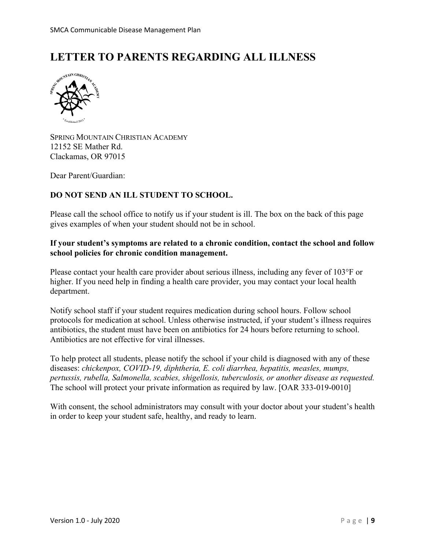## **LETTER TO PARENTS REGARDING ALL ILLNESS**



SPRING MOUNTAIN CHRISTIAN ACADEMY 12152 SE Mather Rd. Clackamas, OR 97015

Dear Parent/Guardian:

#### **DO NOT SEND AN ILL STUDENT TO SCHOOL.**

Please call the school office to notify us if your student is ill. The box on the back of this page gives examples of when your student should not be in school.

#### **If your student's symptoms are related to a chronic condition, contact the school and follow school policies for chronic condition management.**

Please contact your health care provider about serious illness, including any fever of 103°F or higher. If you need help in finding a health care provider, you may contact your local health department.

Notify school staff if your student requires medication during school hours. Follow school protocols for medication at school. Unless otherwise instructed, if your student's illness requires antibiotics, the student must have been on antibiotics for 24 hours before returning to school. Antibiotics are not effective for viral illnesses.

To help protect all students, please notify the school if your child is diagnosed with any of these diseases: *chickenpox, COVID-19, diphtheria, E. coli diarrhea, hepatitis, measles, mumps, pertussis, rubella, Salmonella, scabies, shigellosis, tuberculosis, or another disease as requested.*  The school will protect your private information as required by law. [OAR 333-019-0010]

With consent, the school administrators may consult with your doctor about your student's health in order to keep your student safe, healthy, and ready to learn.